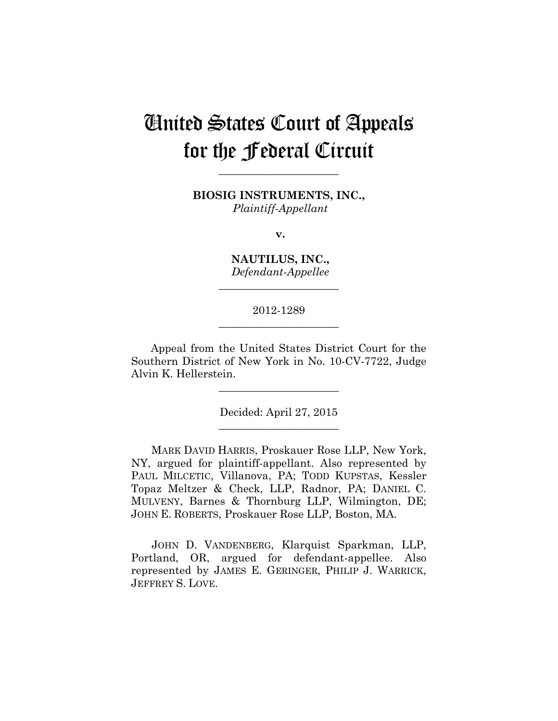# United States Court of Appeals for the Federal Circuit

**BIOSIG INSTRUMENTS, INC.,** *Plaintiff-Appellant*

**\_\_\_\_\_\_\_\_\_\_\_\_\_\_\_\_\_\_\_\_\_\_** 

**v.**

**NAUTILUS, INC.,** *Defendant-Appellee*

**\_\_\_\_\_\_\_\_\_\_\_\_\_\_\_\_\_\_\_\_\_\_** 

## 2012-1289 **\_\_\_\_\_\_\_\_\_\_\_\_\_\_\_\_\_\_\_\_\_\_**

Appeal from the United States District Court for the Southern District of New York in No. 10-CV-7722, Judge Alvin K. Hellerstein.

> Decided: April 27, 2015 \_\_\_\_\_\_\_\_\_\_\_\_\_\_\_\_\_\_\_\_\_\_

> **\_\_\_\_\_\_\_\_\_\_\_\_\_\_\_\_\_\_\_\_\_\_**

MARK DAVID HARRIS, Proskauer Rose LLP, New York, NY, argued for plaintiff-appellant. Also represented by PAUL MILCETIC, Villanova, PA; TODD KUPSTAS, Kessler Topaz Meltzer & Check, LLP, Radnor, PA; DANIEL C. MULVENY, Barnes & Thornburg LLP, Wilmington, DE; JOHN E. ROBERTS, Proskauer Rose LLP, Boston, MA.

JOHN D. VANDENBERG, Klarquist Sparkman, LLP, Portland, OR, argued for defendant-appellee. Also represented by JAMES E. GERINGER, PHILIP J. WARRICK, JEFFREY S. LOVE.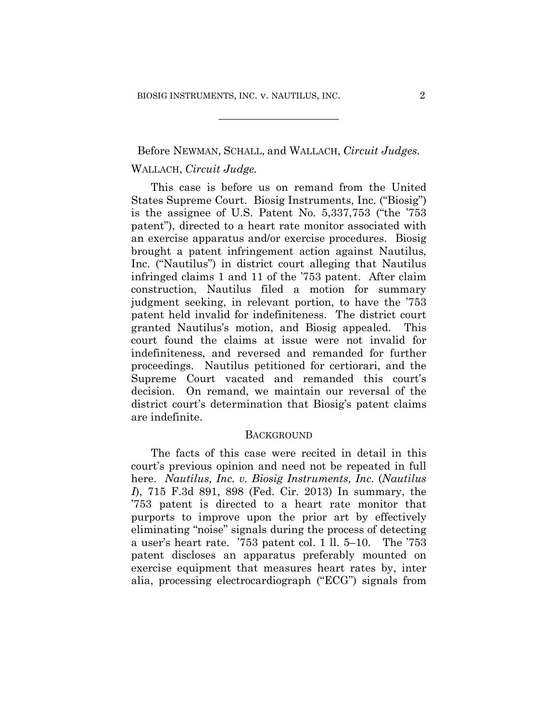## Before NEWMAN, SCHALL, and WALLACH, *Circuit Judges.* WALLACH, *Circuit Judge.*

**\_\_\_\_\_\_\_\_\_\_\_\_\_\_\_\_\_\_\_\_\_\_** 

This case is before us on remand from the United States Supreme Court. Biosig Instruments, Inc. ("Biosig") is the assignee of U.S. Patent No. 5,337,753 ("the '753 patent"), directed to a heart rate monitor associated with an exercise apparatus and/or exercise procedures. Biosig brought a patent infringement action against Nautilus, Inc. ("Nautilus") in district court alleging that Nautilus infringed claims 1 and 11 of the '753 patent. After claim construction, Nautilus filed a motion for summary judgment seeking, in relevant portion, to have the '753 patent held invalid for indefiniteness. The district court granted Nautilus's motion, and Biosig appealed. This court found the claims at issue were not invalid for indefiniteness, and reversed and remanded for further proceedings. Nautilus petitioned for certiorari, and the Supreme Court vacated and remanded this court's decision. On remand, we maintain our reversal of the district court's determination that Biosig's patent claims are indefinite.

#### **BACKGROUND**

The facts of this case were recited in detail in this court's previous opinion and need not be repeated in full here. *Nautilus, Inc. v. Biosig Instruments, Inc.* (*Nautilus I*), 715 F.3d 891, 898 (Fed. Cir. 2013) In summary, the '753 patent is directed to a heart rate monitor that purports to improve upon the prior art by effectively eliminating "noise" signals during the process of detecting a user's heart rate. '753 patent col. 1 ll. 5–10. The '753 patent discloses an apparatus preferably mounted on exercise equipment that measures heart rates by, inter alia, processing electrocardiograph ("ECG") signals from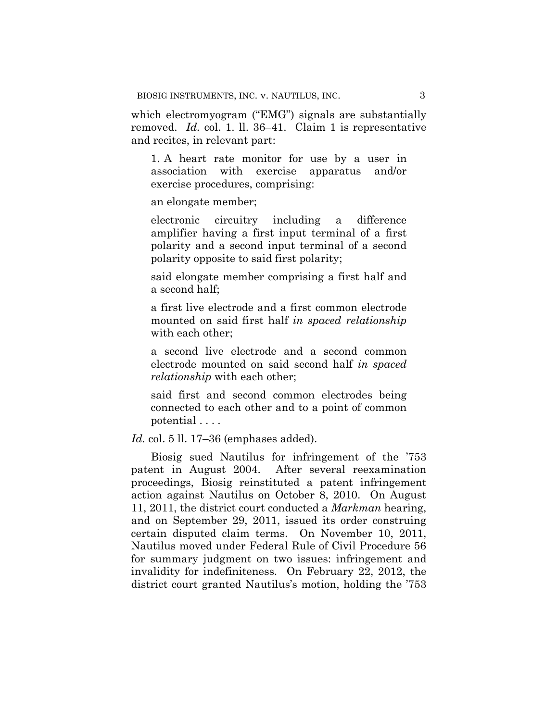which electromyogram ("EMG") signals are substantially removed. *Id.* col. 1. ll. 36–41. Claim 1 is representative and recites, in relevant part:

1. A heart rate monitor for use by a user in association with exercise apparatus and/or exercise procedures, comprising:

an elongate member;

electronic circuitry including a difference amplifier having a first input terminal of a first polarity and a second input terminal of a second polarity opposite to said first polarity;

said elongate member comprising a first half and a second half;

a first live electrode and a first common electrode mounted on said first half *in spaced relationship* with each other;

a second live electrode and a second common electrode mounted on said second half *in spaced relationship* with each other;

said first and second common electrodes being connected to each other and to a point of common potential . . . .

*Id.* col. 5 ll. 17–36 (emphases added).

Biosig sued Nautilus for infringement of the '753 patent in August 2004. After several reexamination proceedings, Biosig reinstituted a patent infringement action against Nautilus on October 8, 2010. On August 11, 2011, the district court conducted a *Markman* hearing, and on September 29, 2011, issued its order construing certain disputed claim terms. On November 10, 2011, Nautilus moved under Federal Rule of Civil Procedure 56 for summary judgment on two issues: infringement and invalidity for indefiniteness. On February 22, 2012, the district court granted Nautilus's motion, holding the '753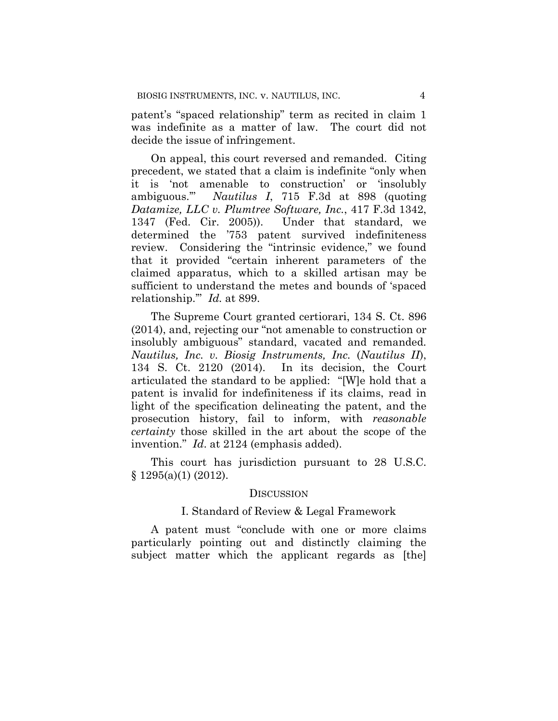patent's "spaced relationship" term as recited in claim 1 was indefinite as a matter of law. The court did not decide the issue of infringement.

On appeal, this court reversed and remanded. Citing precedent, we stated that a claim is indefinite "only when it is 'not amenable to construction' or 'insolubly ambiguous.'" *Nautilus I*, 715 F.3d at 898 (quoting *Datamize, LLC v. Plumtree Software, Inc.*, 417 F.3d 1342, 1347 (Fed. Cir. 2005)). Under that standard, we determined the '753 patent survived indefiniteness review. Considering the "intrinsic evidence," we found that it provided "certain inherent parameters of the claimed apparatus, which to a skilled artisan may be sufficient to understand the metes and bounds of 'spaced relationship.'" *Id.* at 899.

The Supreme Court granted certiorari, 134 S. Ct. 896 (2014), and, rejecting our "not amenable to construction or insolubly ambiguous" standard, vacated and remanded. *Nautilus, Inc. v. Biosig Instruments, Inc.* (*Nautilus II*), 134 S. Ct. 2120 (2014). In its decision, the Court articulated the standard to be applied: "[W]e hold that a patent is invalid for indefiniteness if its claims, read in light of the specification delineating the patent, and the prosecution history, fail to inform, with *reasonable certainty* those skilled in the art about the scope of the invention." *Id*. at 2124 (emphasis added).

This court has jurisdiction pursuant to 28 U.S.C.  $§ 1295(a)(1) (2012).$ 

#### **DISCUSSION**

#### I. Standard of Review & Legal Framework

A patent must "conclude with one or more claims particularly pointing out and distinctly claiming the subject matter which the applicant regards as [the]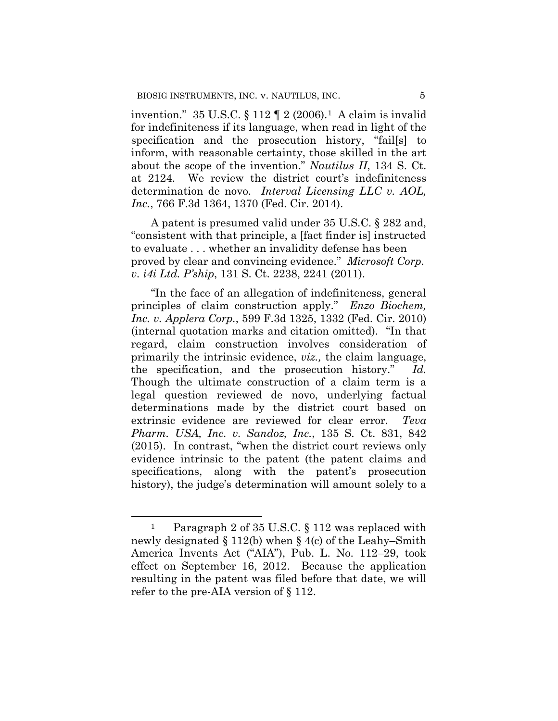invention."  $35 \text{ U.S.C.}$  §  $112 \text{ T } 2 (2006).$ <sup>1</sup> A claim is invalid for indefiniteness if its language, when read in light of the specification and the prosecution history, "fail[s] to inform, with reasonable certainty, those skilled in the art about the scope of the invention." *Nautilus II*, 134 S. Ct. at 2124. We review the district court's indefiniteness determination de novo. *Interval Licensing LLC v. AOL, Inc.*, 766 F.3d 1364, 1370 (Fed. Cir. 2014).

A patent is presumed valid under 35 U.S.C. § 282 and, "consistent with that principle, a [fact finder is] instructed to evaluate . . . whether an invalidity defense has been proved by clear and convincing evidence." *Microsoft Corp. v. i4i Ltd. P'ship*, 131 S. Ct. 2238, 2241 (2011).

"In the face of an allegation of indefiniteness, general principles of claim construction apply." *Enzo Biochem, Inc. v. Applera Corp.*, 599 F.3d 1325, 1332 (Fed. Cir. 2010) (internal quotation marks and citation omitted). "In that regard, claim construction involves consideration of primarily the intrinsic evidence, *viz.,* the claim language, the specification, and the prosecution history." *Id.* Though the ultimate construction of a claim term is a legal question reviewed de novo, underlying factual determinations made by the district court based on extrinsic evidence are reviewed for clear error*. Teva Pharm. USA, Inc. v. Sandoz, Inc.*, 135 S. Ct. 831, 842 (2015). In contrast, "when the district court reviews only evidence intrinsic to the patent (the patent claims and specifications, along with the patent's prosecution history), the judge's determination will amount solely to a

 $\overline{a}$ 

<sup>&</sup>lt;sup>1</sup> Paragraph 2 of 35 U.S.C. § 112 was replaced with newly designated § 112(b) when § 4(c) of the Leahy–Smith America Invents Act ("AIA"), Pub. L. No. 112–29, took effect on September 16, 2012. Because the application resulting in the patent was filed before that date, we will refer to the pre-AIA version of § 112.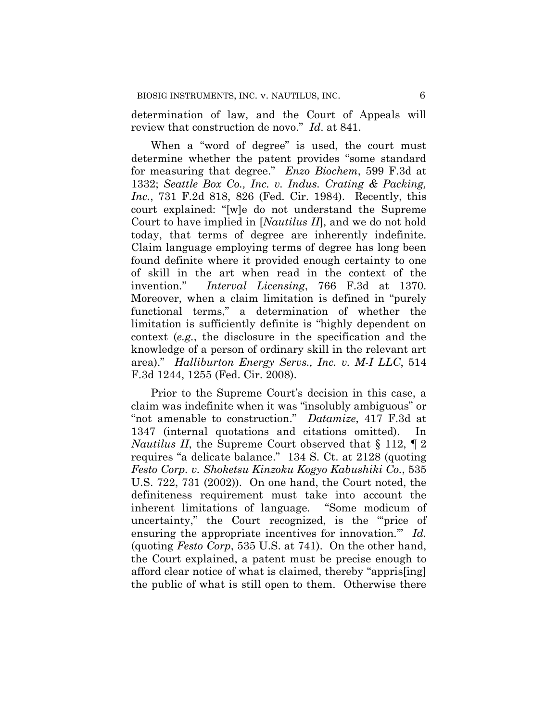determination of law, and the Court of Appeals will review that construction de novo." *Id*. at 841.

When a "word of degree" is used, the court must determine whether the patent provides "some standard for measuring that degree." *Enzo Biochem*, 599 F.3d at 1332; *Seattle Box Co., Inc. v. Indus. Crating & Packing, Inc.*, 731 F.2d 818, 826 (Fed. Cir. 1984). Recently, this court explained: "[w]e do not understand the Supreme Court to have implied in [*Nautilus II*], and we do not hold today, that terms of degree are inherently indefinite. Claim language employing terms of degree has long been found definite where it provided enough certainty to one of skill in the art when read in the context of the invention*.*" *Interval Licensing*, 766 F.3d at 1370. Moreover, when a claim limitation is defined in "purely functional terms," a determination of whether the limitation is sufficiently definite is "highly dependent on context (*e.g.*, the disclosure in the specification and the knowledge of a person of ordinary skill in the relevant art area)." *Halliburton Energy Servs., Inc. v. M-I LLC*, 514 F.3d 1244, 1255 (Fed. Cir. 2008).

Prior to the Supreme Court's decision in this case, a claim was indefinite when it was "insolubly ambiguous" or "not amenable to construction." *Datamize*, 417 F.3d at 1347 (internal quotations and citations omitted). In *Nautilus II*, the Supreme Court observed that § 112, ¶ 2 requires "a delicate balance." 134 S. Ct. at 2128 (quoting *Festo Corp. v. Shoketsu Kinzoku Kogyo Kabushiki Co.*, 535 U.S. 722, 731 (2002)). On one hand, the Court noted, the definiteness requirement must take into account the inherent limitations of language*.* "Some modicum of uncertainty," the Court recognized, is the "'price of ensuring the appropriate incentives for innovation.'" *Id.* (quoting *Festo Corp*, 535 U.S. at 741). On the other hand, the Court explained, a patent must be precise enough to afford clear notice of what is claimed, thereby "appris[ing] the public of what is still open to them. Otherwise there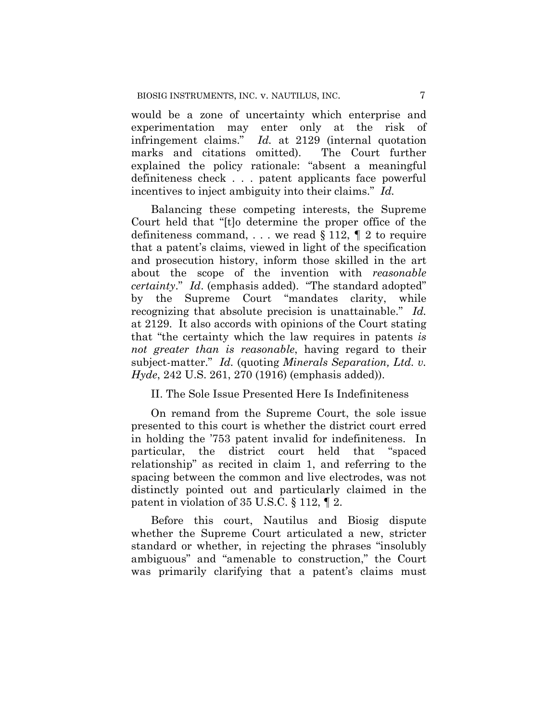would be a zone of uncertainty which enterprise and experimentation may enter only at the risk of infringement claims." *Id.* at 2129 (internal quotation marks and citations omitted). The Court further explained the policy rationale: "absent a meaningful definiteness check . . . patent applicants face powerful incentives to inject ambiguity into their claims." *Id.* 

Balancing these competing interests, the Supreme Court held that "[t]o determine the proper office of the definiteness command, ... we read  $\S 112$ ,  $\S 2$  to require that a patent's claims, viewed in light of the specification and prosecution history, inform those skilled in the art about the scope of the invention with *reasonable certainty*." *Id*. (emphasis added). "The standard adopted" by the Supreme Court "mandates clarity, while recognizing that absolute precision is unattainable." *Id.* at 2129. It also accords with opinions of the Court stating that "the certainty which the law requires in patents *is not greater than is reasonable*, having regard to their subject-matter." *Id.* (quoting *Minerals Separation, Ltd. v. Hyde*, 242 U.S. 261, 270 (1916) (emphasis added)).

### II. The Sole Issue Presented Here Is Indefiniteness

On remand from the Supreme Court, the sole issue presented to this court is whether the district court erred in holding the '753 patent invalid for indefiniteness. In particular, the district court held that "spaced relationship" as recited in claim 1, and referring to the spacing between the common and live electrodes, was not distinctly pointed out and particularly claimed in the patent in violation of 35 U.S.C. § 112, ¶ 2.

Before this court, Nautilus and Biosig dispute whether the Supreme Court articulated a new, stricter standard or whether, in rejecting the phrases "insolubly ambiguous" and "amenable to construction," the Court was primarily clarifying that a patent's claims must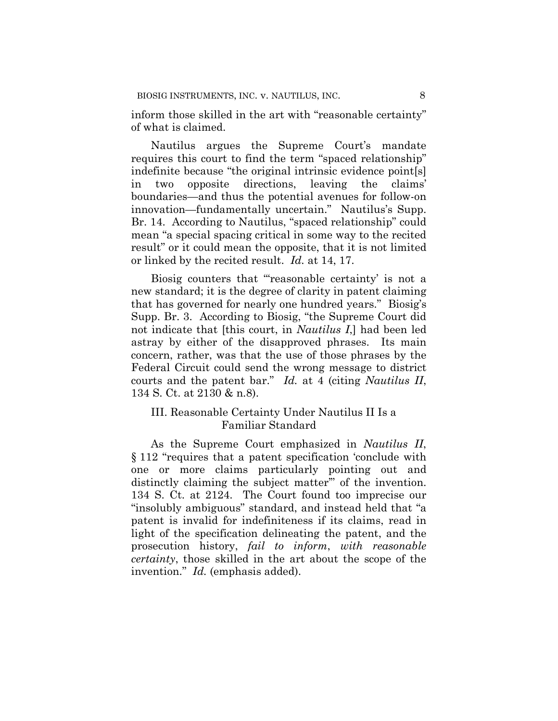inform those skilled in the art with "reasonable certainty" of what is claimed.

Nautilus argues the Supreme Court's mandate requires this court to find the term "spaced relationship" indefinite because "the original intrinsic evidence point[s] in two opposite directions, leaving the claims' boundaries—and thus the potential avenues for follow-on innovation—fundamentally uncertain." Nautilus's Supp. Br. 14. According to Nautilus, "spaced relationship" could mean "a special spacing critical in some way to the recited result" or it could mean the opposite, that it is not limited or linked by the recited result. *Id.* at 14, 17.

Biosig counters that "'reasonable certainty' is not a new standard; it is the degree of clarity in patent claiming that has governed for nearly one hundred years." Biosig's Supp. Br. 3. According to Biosig, "the Supreme Court did not indicate that [this court, in *Nautilus I*,] had been led astray by either of the disapproved phrases. Its main concern, rather, was that the use of those phrases by the Federal Circuit could send the wrong message to district courts and the patent bar." *Id.* at 4 (citing *Nautilus II*, 134 S. Ct. at 2130 & n.8).

## III. Reasonable Certainty Under Nautilus II Is a Familiar Standard

As the Supreme Court emphasized in *Nautilus II*, § 112 "requires that a patent specification 'conclude with one or more claims particularly pointing out and distinctly claiming the subject matter'" of the invention. 134 S. Ct. at 2124. The Court found too imprecise our "insolubly ambiguous" standard, and instead held that "a patent is invalid for indefiniteness if its claims, read in light of the specification delineating the patent, and the prosecution history, *fail to inform*, *with reasonable certainty*, those skilled in the art about the scope of the invention." *Id.* (emphasis added).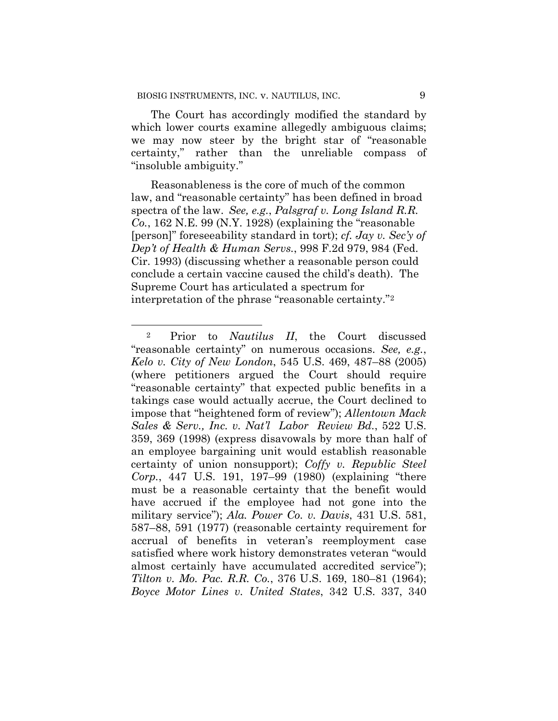The Court has accordingly modified the standard by which lower courts examine allegedly ambiguous claims; we may now steer by the bright star of "reasonable certainty," rather than the unreliable compass of "insoluble ambiguity."

Reasonableness is the core of much of the common law, and "reasonable certainty" has been defined in broad spectra of the law. *See, e.g.*, *Palsgraf v. Long Island R.R. Co.*, 162 N.E. 99 (N.Y. 1928) (explaining the "reasonable [person]" foreseeability standard in tort); *cf. Jay v. Sec'y of Dep't of Health & Human Servs.*, 998 F.2d 979, 984 (Fed. Cir. 1993) (discussing whether a reasonable person could conclude a certain vaccine caused the child's death). The Supreme Court has articulated a spectrum for interpretation of the phrase "reasonable certainty."2

 <sup>2</sup> Prior to *Nautilus II*, the Court discussed "reasonable certainty" on numerous occasions. *See, e.g.*, *Kelo v. City of New London*, 545 U.S. 469, 487–88 (2005) (where petitioners argued the Court should require "reasonable certainty" that expected public benefits in a takings case would actually accrue, the Court declined to impose that "heightened form of review"); *Allentown Mack Sales & Serv., Inc. v. Nat'l Labor Review Bd.*, 522 U.S. 359, 369 (1998) (express disavowals by more than half of an employee bargaining unit would establish reasonable certainty of union nonsupport); *Coffy v. Republic Steel Corp.*, 447 U.S. 191, 197–99 (1980) (explaining "there must be a reasonable certainty that the benefit would have accrued if the employee had not gone into the military service"); *Ala. Power Co. v. Davis*, 431 U.S. 581, 587–88, 591 (1977) (reasonable certainty requirement for accrual of benefits in veteran's reemployment case satisfied where work history demonstrates veteran "would almost certainly have accumulated accredited service"); *Tilton v. Mo. Pac. R.R. Co.*, 376 U.S. 169, 180–81 (1964); *Boyce Motor Lines v. United States*, 342 U.S. 337, 340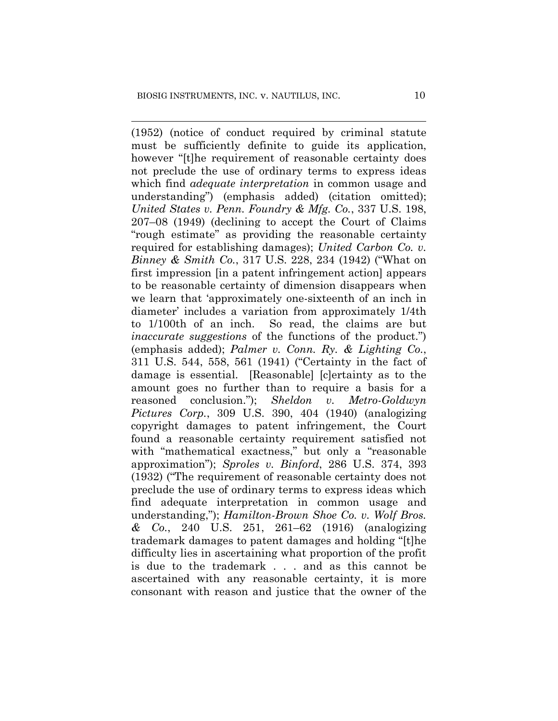(1952) (notice of conduct required by criminal statute must be sufficiently definite to guide its application, however "[t]he requirement of reasonable certainty does not preclude the use of ordinary terms to express ideas which find *adequate interpretation* in common usage and understanding") (emphasis added) (citation omitted); *United States v. Penn. Foundry & Mfg. Co.*, 337 U.S. 198, 207–08 (1949) (declining to accept the Court of Claims "rough estimate" as providing the reasonable certainty required for establishing damages); *United Carbon Co. v. Binney & Smith Co.*, 317 U.S. 228, 234 (1942) ("What on first impression [in a patent infringement action] appears to be reasonable certainty of dimension disappears when we learn that 'approximately one-sixteenth of an inch in diameter' includes a variation from approximately 1/4th to 1/100th of an inch. So read, the claims are but *inaccurate suggestions* of the functions of the product.") (emphasis added); *Palmer v. Conn. Ry. & Lighting Co.*, 311 U.S. 544, 558, 561 (1941) ("Certainty in the fact of damage is essential. [Reasonable] [c]ertainty as to the amount goes no further than to require a basis for a reasoned conclusion."); *Sheldon v. Metro-Goldwyn Pictures Corp.*, 309 U.S. 390, 404 (1940) (analogizing copyright damages to patent infringement, the Court found a reasonable certainty requirement satisfied not with "mathematical exactness," but only a "reasonable approximation"); *Sproles v. Binford*, 286 U.S. 374, 393 (1932) ("The requirement of reasonable certainty does not preclude the use of ordinary terms to express ideas which find adequate interpretation in common usage and understanding,"); *Hamilton-Brown Shoe Co. v. Wolf Bros. & Co.*, 240 U.S. 251, 261–62 (1916) (analogizing trademark damages to patent damages and holding "[t]he difficulty lies in ascertaining what proportion of the profit is due to the trademark . . . and as this cannot be ascertained with any reasonable certainty, it is more consonant with reason and justice that the owner of the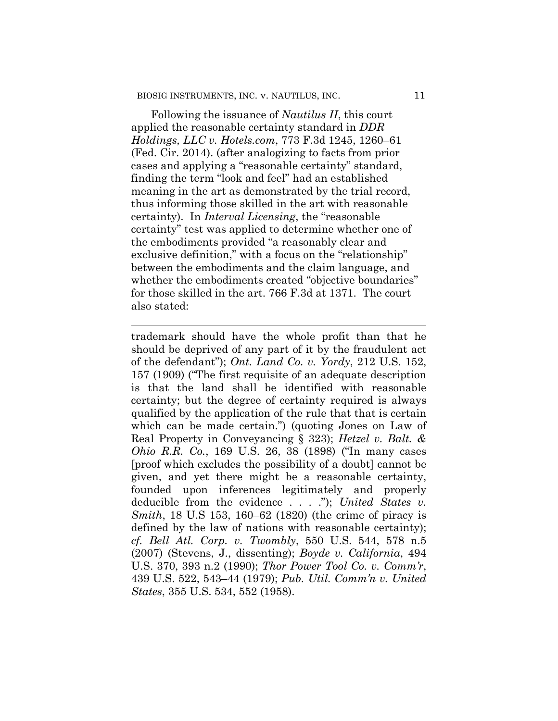Following the issuance of *Nautilus II*, this court applied the reasonable certainty standard in *DDR Holdings, LLC v. Hotels.com*, 773 F.3d 1245, 1260–61 (Fed. Cir. 2014). (after analogizing to facts from prior cases and applying a "reasonable certainty" standard, finding the term "look and feel" had an established meaning in the art as demonstrated by the trial record, thus informing those skilled in the art with reasonable certainty). In *Interval Licensing*, the "reasonable certainty" test was applied to determine whether one of the embodiments provided "a reasonably clear and exclusive definition," with a focus on the "relationship" between the embodiments and the claim language, and whether the embodiments created "objective boundaries" for those skilled in the art. 766 F.3d at 1371. The court also stated:

trademark should have the whole profit than that he should be deprived of any part of it by the fraudulent act of the defendant"); *Ont. Land Co. v. Yordy*, 212 U.S. 152, 157 (1909) ("The first requisite of an adequate description is that the land shall be identified with reasonable certainty; but the degree of certainty required is always qualified by the application of the rule that that is certain which can be made certain.") (quoting Jones on Law of Real Property in Conveyancing § 323); *Hetzel v. Balt. & Ohio R.R. Co.*, 169 U.S. 26, 38 (1898) ("In many cases [proof which excludes the possibility of a doubt] cannot be given, and yet there might be a reasonable certainty, founded upon inferences legitimately and properly deducible from the evidence . . . ."); *United States v. Smith*, 18 U.S 153, 160–62 (1820) (the crime of piracy is defined by the law of nations with reasonable certainty); *cf. Bell Atl. Corp. v. Twombly*, 550 U.S. 544, 578 n.5 (2007) (Stevens, J., dissenting); *Boyde v. California*, 494 U.S. 370, 393 n.2 (1990); *Thor Power Tool Co. v. Comm'r*, 439 U.S. 522, 543–44 (1979); *Pub. Util. Comm'n v. United States*, 355 U.S. 534, 552 (1958).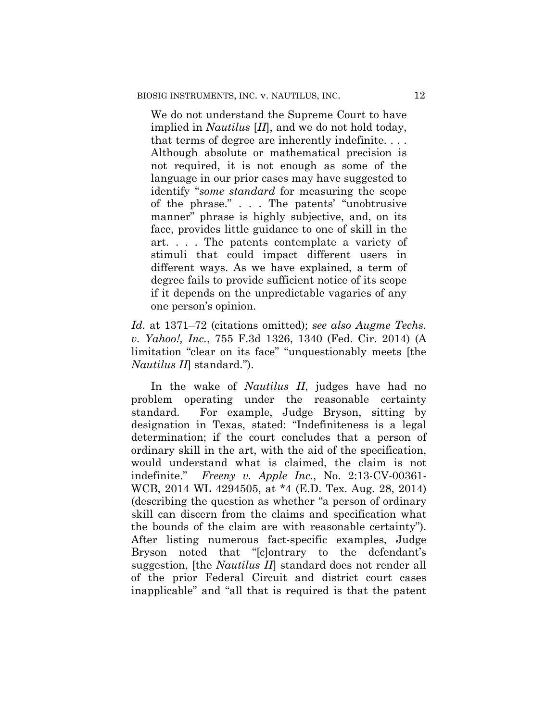We do not understand the Supreme Court to have implied in *Nautilus* [*II*], and we do not hold today, that terms of degree are inherently indefinite. . . . Although absolute or mathematical precision is not required, it is not enough as some of the language in our prior cases may have suggested to identify "*some standard* for measuring the scope of the phrase." . . . The patents' "unobtrusive manner" phrase is highly subjective, and, on its face, provides little guidance to one of skill in the art. . . . The patents contemplate a variety of stimuli that could impact different users in different ways. As we have explained, a term of degree fails to provide sufficient notice of its scope if it depends on the unpredictable vagaries of any one person's opinion.

*Id.* at 1371–72 (citations omitted); *see also Augme Techs. v. Yahoo!, Inc.*, 755 F.3d 1326, 1340 (Fed. Cir. 2014) (A limitation "clear on its face" "unquestionably meets [the *Nautilus II*] standard.").

In the wake of *Nautilus II*, judges have had no problem operating under the reasonable certainty standard. For example, Judge Bryson, sitting by designation in Texas, stated: "Indefiniteness is a legal determination; if the court concludes that a person of ordinary skill in the art, with the aid of the specification, would understand what is claimed, the claim is not indefinite." *Freeny v. Apple Inc.*, No. 2:13-CV-00361- WCB, 2014 WL 4294505, at \*4 (E.D. Tex. Aug. 28, 2014) (describing the question as whether "a person of ordinary skill can discern from the claims and specification what the bounds of the claim are with reasonable certainty"). After listing numerous fact-specific examples, Judge Bryson noted that "[c]ontrary to the defendant's suggestion, [the *Nautilus II*] standard does not render all of the prior Federal Circuit and district court cases inapplicable" and "all that is required is that the patent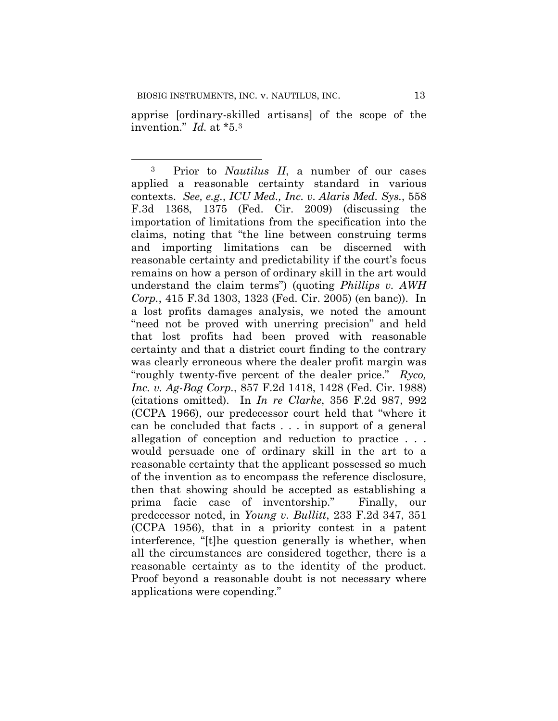apprise [ordinary-skilled artisans] of the scope of the invention." *Id.* at \*5.3

<sup>3</sup> Prior to *Nautilus II*, a number of our cases applied a reasonable certainty standard in various contexts. *See, e.g.*, *ICU Med., Inc. v. Alaris Med. Sys.*, 558 F.3d 1368, 1375 (Fed. Cir. 2009) (discussing the importation of limitations from the specification into the claims, noting that "the line between construing terms and importing limitations can be discerned with reasonable certainty and predictability if the court's focus remains on how a person of ordinary skill in the art would understand the claim terms") (quoting *Phillips v. AWH Corp.*, 415 F.3d 1303, 1323 (Fed. Cir. 2005) (en banc)). In a lost profits damages analysis, we noted the amount "need not be proved with unerring precision" and held that lost profits had been proved with reasonable certainty and that a district court finding to the contrary was clearly erroneous where the dealer profit margin was "roughly twenty-five percent of the dealer price." *Ryco, Inc. v. Ag-Bag Corp.*, 857 F.2d 1418, 1428 (Fed. Cir. 1988) (citations omitted). In *In re Clarke*, 356 F.2d 987, 992 (CCPA 1966), our predecessor court held that "where it can be concluded that facts . . . in support of a general allegation of conception and reduction to practice . . . would persuade one of ordinary skill in the art to a reasonable certainty that the applicant possessed so much of the invention as to encompass the reference disclosure, then that showing should be accepted as establishing a prima facie case of inventorship." Finally, our predecessor noted, in *Young v. Bullitt*, 233 F.2d 347, 351 (CCPA 1956), that in a priority contest in a patent interference, "[t]he question generally is whether, when all the circumstances are considered together, there is a reasonable certainty as to the identity of the product. Proof beyond a reasonable doubt is not necessary where applications were copending."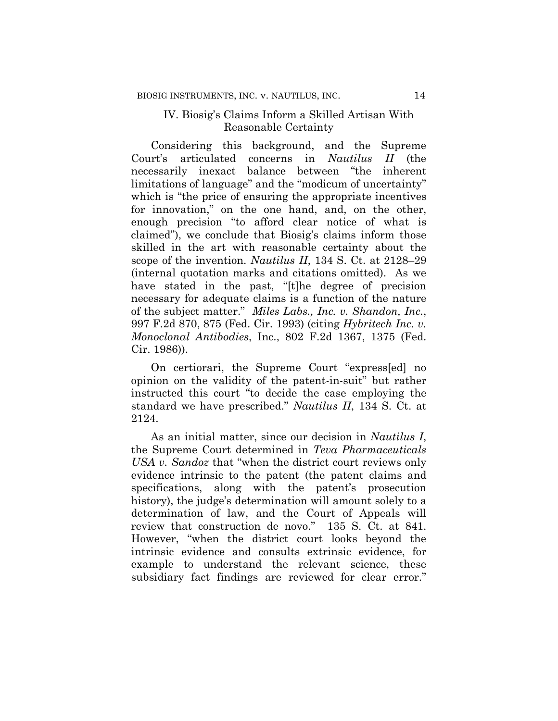## IV. Biosig's Claims Inform a Skilled Artisan With Reasonable Certainty

Considering this background, and the Supreme Court's articulated concerns in *Nautilus II* (the necessarily inexact balance between "the inherent limitations of language" and the "modicum of uncertainty" which is "the price of ensuring the appropriate incentives for innovation," on the one hand, and, on the other, enough precision "to afford clear notice of what is claimed"), we conclude that Biosig's claims inform those skilled in the art with reasonable certainty about the scope of the invention. *Nautilus II*, 134 S. Ct. at 2128–29 (internal quotation marks and citations omitted). As we have stated in the past, "[t]he degree of precision necessary for adequate claims is a function of the nature of the subject matter." *Miles Labs., Inc. v. Shandon, Inc.*, 997 F.2d 870, 875 (Fed. Cir. 1993) (citing *Hybritech Inc. v. Monoclonal Antibodies*, Inc., 802 F.2d 1367, 1375 (Fed. Cir. 1986)).

On certiorari, the Supreme Court "express[ed] no opinion on the validity of the patent-in-suit" but rather instructed this court "to decide the case employing the standard we have prescribed." *Nautilus II*, 134 S. Ct. at 2124.

As an initial matter, since our decision in *Nautilus I*, the Supreme Court determined in *Teva Pharmaceuticals USA v. Sandoz* that "when the district court reviews only evidence intrinsic to the patent (the patent claims and specifications, along with the patent's prosecution history), the judge's determination will amount solely to a determination of law, and the Court of Appeals will review that construction de novo." 135 S. Ct. at 841. However, "when the district court looks beyond the intrinsic evidence and consults extrinsic evidence, for example to understand the relevant science, these subsidiary fact findings are reviewed for clear error."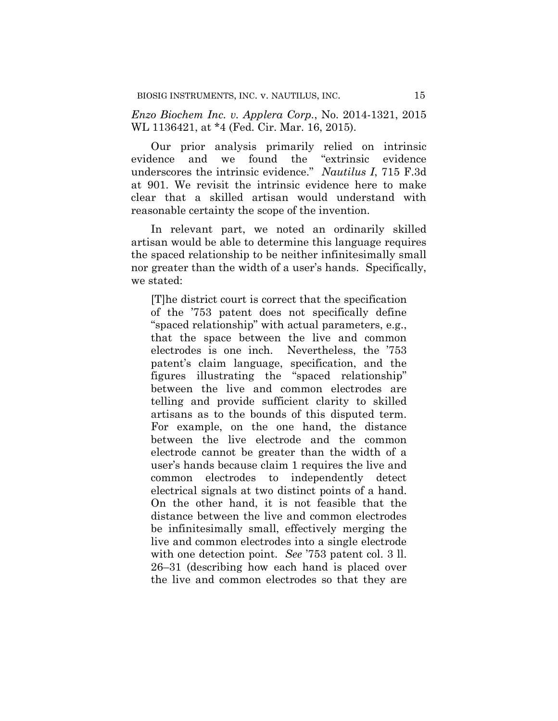*Enzo Biochem Inc. v. Applera Corp.*, No. 2014-1321, 2015 WL 1136421, at \*4 (Fed. Cir. Mar. 16, 2015).

Our prior analysis primarily relied on intrinsic evidence and we found the "extrinsic evidence underscores the intrinsic evidence." *Nautilus I*, 715 F.3d at 901. We revisit the intrinsic evidence here to make clear that a skilled artisan would understand with reasonable certainty the scope of the invention.

In relevant part, we noted an ordinarily skilled artisan would be able to determine this language requires the spaced relationship to be neither infinitesimally small nor greater than the width of a user's hands. Specifically, we stated:

[T]he district court is correct that the specification of the '753 patent does not specifically define "spaced relationship" with actual parameters, e.g., that the space between the live and common electrodes is one inch. Nevertheless, the '753 patent's claim language, specification, and the figures illustrating the "spaced relationship" between the live and common electrodes are telling and provide sufficient clarity to skilled artisans as to the bounds of this disputed term. For example, on the one hand, the distance between the live electrode and the common electrode cannot be greater than the width of a user's hands because claim 1 requires the live and common electrodes to independently detect electrical signals at two distinct points of a hand. On the other hand, it is not feasible that the distance between the live and common electrodes be infinitesimally small, effectively merging the live and common electrodes into a single electrode with one detection point. *See* '753 patent col. 3 ll. 26–31 (describing how each hand is placed over the live and common electrodes so that they are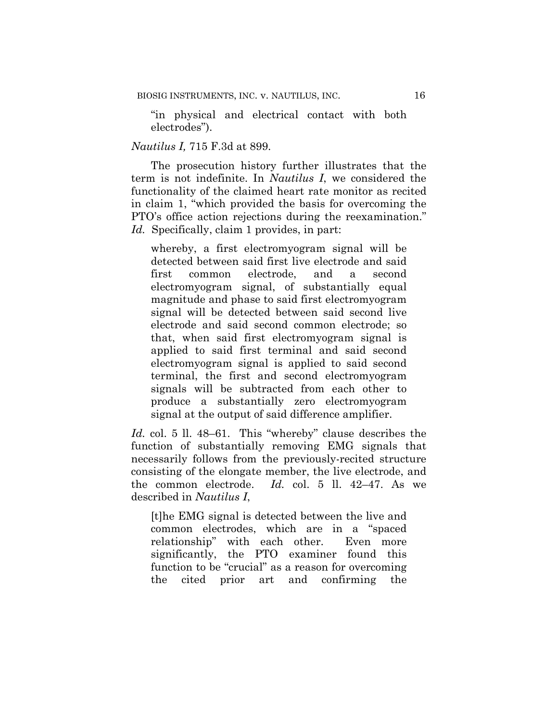"in physical and electrical contact with both electrodes").

### *Nautilus I,* 715 F.3d at 899.

The prosecution history further illustrates that the term is not indefinite. In *Nautilus I*, we considered the functionality of the claimed heart rate monitor as recited in claim 1, "which provided the basis for overcoming the PTO's office action rejections during the reexamination." *Id.* Specifically, claim 1 provides, in part:

whereby, a first electromyogram signal will be detected between said first live electrode and said first common electrode, and a second electromyogram signal, of substantially equal magnitude and phase to said first electromyogram signal will be detected between said second live electrode and said second common electrode; so that, when said first electromyogram signal is applied to said first terminal and said second electromyogram signal is applied to said second terminal, the first and second electromyogram signals will be subtracted from each other to produce a substantially zero electromyogram signal at the output of said difference amplifier.

*Id.* col. 5 ll. 48–61. This "whereby" clause describes the function of substantially removing EMG signals that necessarily follows from the previously-recited structure consisting of the elongate member, the live electrode, and the common electrode. *Id.* col. 5 ll. 42–47. As we described in *Nautilus I*,

[t]he EMG signal is detected between the live and common electrodes, which are in a "spaced relationship" with each other. Even more significantly, the PTO examiner found this function to be "crucial" as a reason for overcoming the cited prior art and confirming the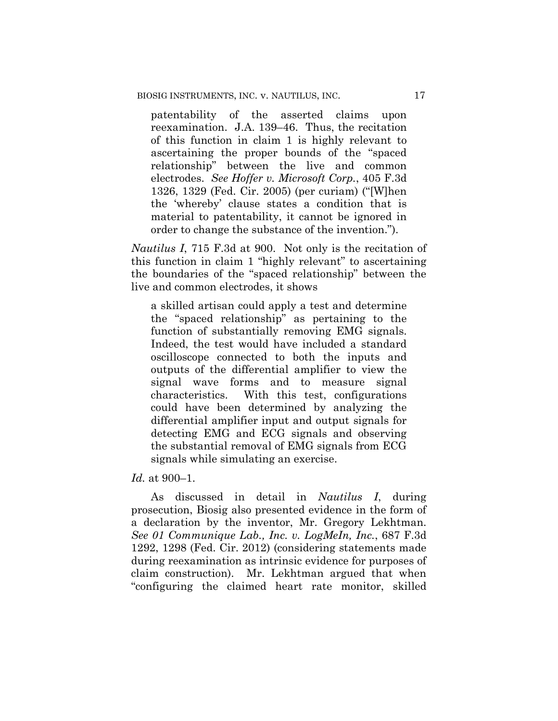patentability of the asserted claims upon reexamination. J.A. 139–46. Thus, the recitation of this function in claim 1 is highly relevant to ascertaining the proper bounds of the "spaced relationship" between the live and common electrodes. *See Hoffer v. Microsoft Corp.*, 405 F.3d 1326, 1329 (Fed. Cir. 2005) (per curiam) ("[W]hen the 'whereby' clause states a condition that is material to patentability, it cannot be ignored in order to change the substance of the invention.").

*Nautilus I*, 715 F.3d at 900. Not only is the recitation of this function in claim 1 "highly relevant" to ascertaining the boundaries of the "spaced relationship" between the live and common electrodes, it shows

a skilled artisan could apply a test and determine the "spaced relationship" as pertaining to the function of substantially removing EMG signals. Indeed, the test would have included a standard oscilloscope connected to both the inputs and outputs of the differential amplifier to view the signal wave forms and to measure signal characteristics. With this test, configurations could have been determined by analyzing the differential amplifier input and output signals for detecting EMG and ECG signals and observing the substantial removal of EMG signals from ECG signals while simulating an exercise.

*Id.* at 900–1.

As discussed in detail in *Nautilus I*, during prosecution, Biosig also presented evidence in the form of a declaration by the inventor, Mr. Gregory Lekhtman. *See 01 Communique Lab., Inc. v. LogMeIn, Inc.*, 687 F.3d 1292, 1298 (Fed. Cir. 2012) (considering statements made during reexamination as intrinsic evidence for purposes of claim construction). Mr. Lekhtman argued that when "configuring the claimed heart rate monitor, skilled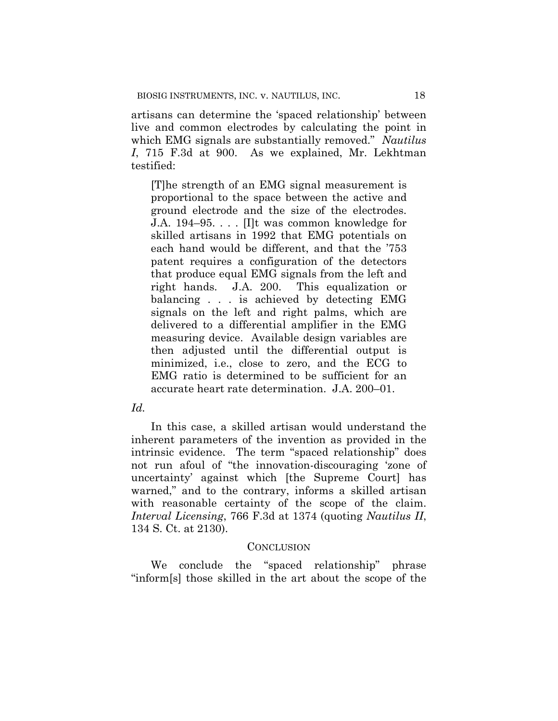artisans can determine the 'spaced relationship' between live and common electrodes by calculating the point in which EMG signals are substantially removed." *Nautilus I*, 715 F.3d at 900. As we explained, Mr. Lekhtman testified:

[T]he strength of an EMG signal measurement is proportional to the space between the active and ground electrode and the size of the electrodes. J.A. 194–95. . . . [I]t was common knowledge for skilled artisans in 1992 that EMG potentials on each hand would be different, and that the '753 patent requires a configuration of the detectors that produce equal EMG signals from the left and right hands. J.A. 200. This equalization or balancing . . . is achieved by detecting EMG signals on the left and right palms, which are delivered to a differential amplifier in the EMG measuring device. Available design variables are then adjusted until the differential output is minimized, i.e., close to zero, and the ECG to EMG ratio is determined to be sufficient for an accurate heart rate determination. J.A. 200–01.

## *Id.*

In this case, a skilled artisan would understand the inherent parameters of the invention as provided in the intrinsic evidence. The term "spaced relationship" does not run afoul of "the innovation-discouraging 'zone of uncertainty' against which [the Supreme Court] has warned," and to the contrary, informs a skilled artisan with reasonable certainty of the scope of the claim. *Interval Licensing*, 766 F.3d at 1374 (quoting *Nautilus II*, 134 S. Ct. at 2130).

#### CONCLUSION

We conclude the "spaced relationship" phrase "inform[s] those skilled in the art about the scope of the